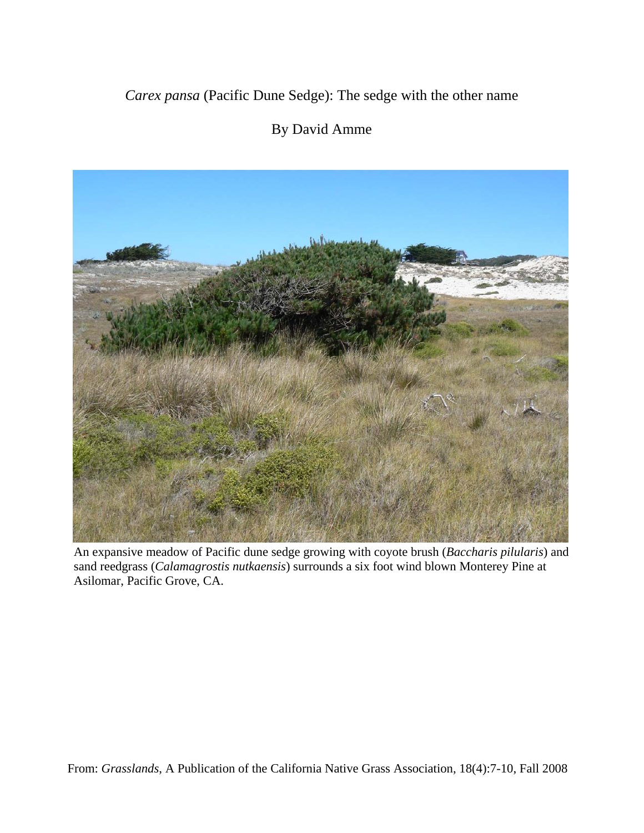*Carex pansa* (Pacific Dune Sedge): The sedge with the other name

## By David Amme



An expansive meadow of Pacific dune sedge growing with coyote brush (*Baccharis pilularis*) and sand reedgrass (*Calamagrostis nutkaensis*) surrounds a six foot wind blown Monterey Pine at Asilomar, Pacific Grove, CA.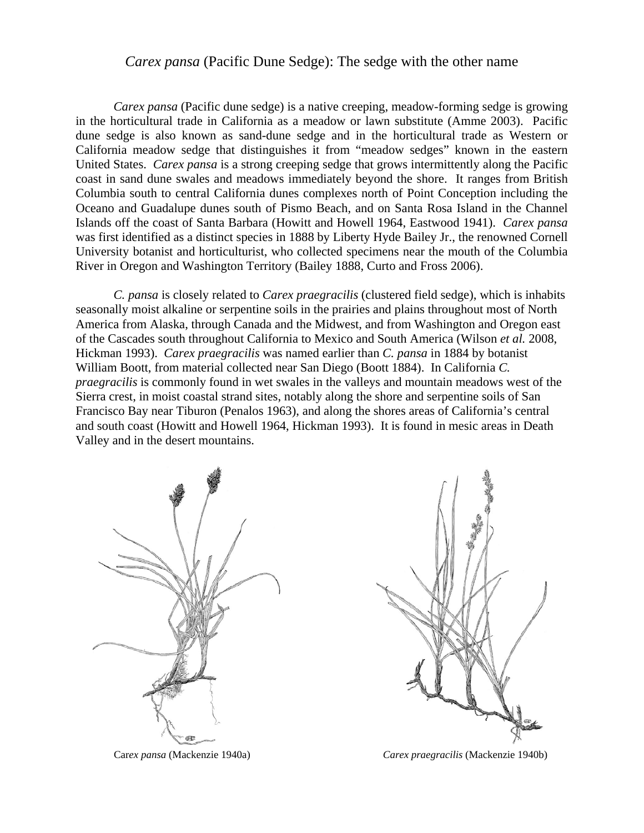## *Carex pansa* (Pacific Dune Sedge): The sedge with the other name

*Carex pansa* (Pacific dune sedge) is a native creeping, meadow-forming sedge is growing in the horticultural trade in California as a meadow or lawn substitute (Amme 2003). Pacific dune sedge is also known as sand-dune sedge and in the horticultural trade as Western or California meadow sedge that distinguishes it from "meadow sedges" known in the eastern United States. *Carex pansa* is a strong creeping sedge that grows intermittently along the Pacific coast in sand dune swales and meadows immediately beyond the shore. It ranges from British Columbia south to central California dunes complexes north of Point Conception including the Oceano and Guadalupe dunes south of Pismo Beach, and on Santa Rosa Island in the Channel Islands off the coast of Santa Barbara (Howitt and Howell 1964, Eastwood 1941). *Carex pansa* was first identified as a distinct species in 1888 by Liberty Hyde Bailey Jr., the renowned Cornell University botanist and horticulturist, who collected specimens near the mouth of the Columbia River in Oregon and Washington Territory (Bailey 1888, Curto and Fross 2006).

*C. pansa* is closely related to *Carex praegracilis* (clustered field sedge), which is inhabits seasonally moist alkaline or serpentine soils in the prairies and plains throughout most of North America from Alaska, through Canada and the Midwest, and from Washington and Oregon east of the Cascades south throughout California to Mexico and South America (Wilson *et al.* 2008, Hickman 1993). *Carex praegracilis* was named earlier than *C. pansa* in 1884 by botanist William Boott, from material collected near San Diego (Boott 1884). In California *C. praegracilis* is commonly found in wet swales in the valleys and mountain meadows west of the Sierra crest, in moist coastal strand sites, notably along the shore and serpentine soils of San Francisco Bay near Tiburon (Penalos 1963), and along the shores areas of California's central and south coast (Howitt and Howell 1964, Hickman 1993). It is found in mesic areas in Death Valley and in the desert mountains.





Car*ex pansa* (Mackenzie 1940a) *Carex praegracilis* (Mackenzie 1940b)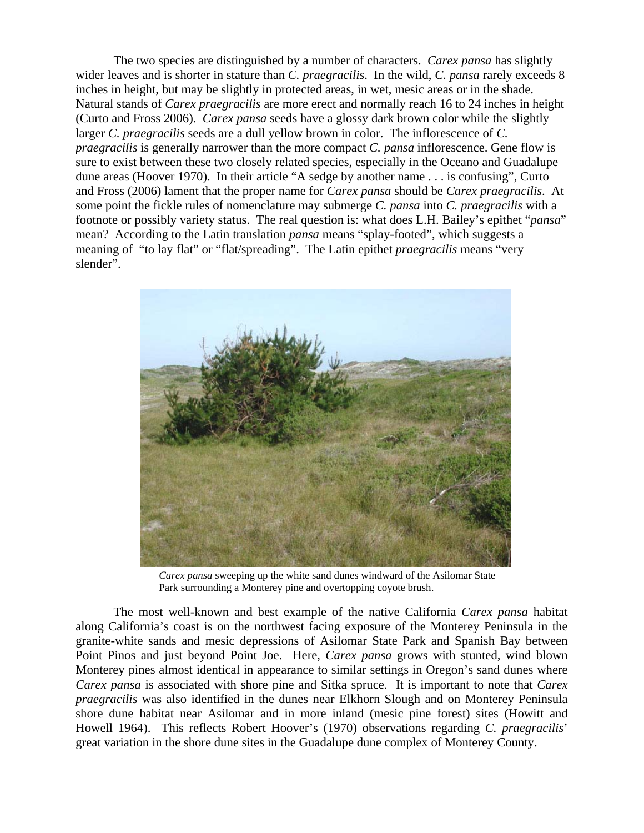The two species are distinguished by a number of characters. *Carex pansa* has slightly wider leaves and is shorter in stature than *C. praegracilis*. In the wild, *C. pansa* rarely exceeds 8 inches in height, but may be slightly in protected areas, in wet, mesic areas or in the shade. Natural stands of *Carex praegracilis* are more erect and normally reach 16 to 24 inches in height (Curto and Fross 2006). *Carex pansa* seeds have a glossy dark brown color while the slightly larger *C. praegracilis* seeds are a dull yellow brown in color. The inflorescence of *C. praegracilis* is generally narrower than the more compact *C. pansa* inflorescence. Gene flow is sure to exist between these two closely related species, especially in the Oceano and Guadalupe dune areas (Hoover 1970). In their article "A sedge by another name . . . is confusing", Curto and Fross (2006) lament that the proper name for *Carex pansa* should be *Carex praegracilis*. At some point the fickle rules of nomenclature may submerge *C. pansa* into *C. praegracilis* with a footnote or possibly variety status. The real question is: what does L.H. Bailey's epithet "*pansa*" mean? According to the Latin translation *pansa* means "splay-footed", which suggests a meaning of "to lay flat" or "flat/spreading". The Latin epithet *praegracilis* means "very slender".



*Carex pansa* sweeping up the white sand dunes windward of the Asilomar State Park surrounding a Monterey pine and overtopping coyote brush.

The most well-known and best example of the native California *Carex pansa* habitat along California's coast is on the northwest facing exposure of the Monterey Peninsula in the granite-white sands and mesic depressions of Asilomar State Park and Spanish Bay between Point Pinos and just beyond Point Joe. Here, *Carex pansa* grows with stunted, wind blown Monterey pines almost identical in appearance to similar settings in Oregon's sand dunes where *Carex pansa* is associated with shore pine and Sitka spruce. It is important to note that *Carex praegracilis* was also identified in the dunes near Elkhorn Slough and on Monterey Peninsula shore dune habitat near Asilomar and in more inland (mesic pine forest) sites (Howitt and Howell 1964). This reflects Robert Hoover's (1970) observations regarding *C. praegracilis*' great variation in the shore dune sites in the Guadalupe dune complex of Monterey County.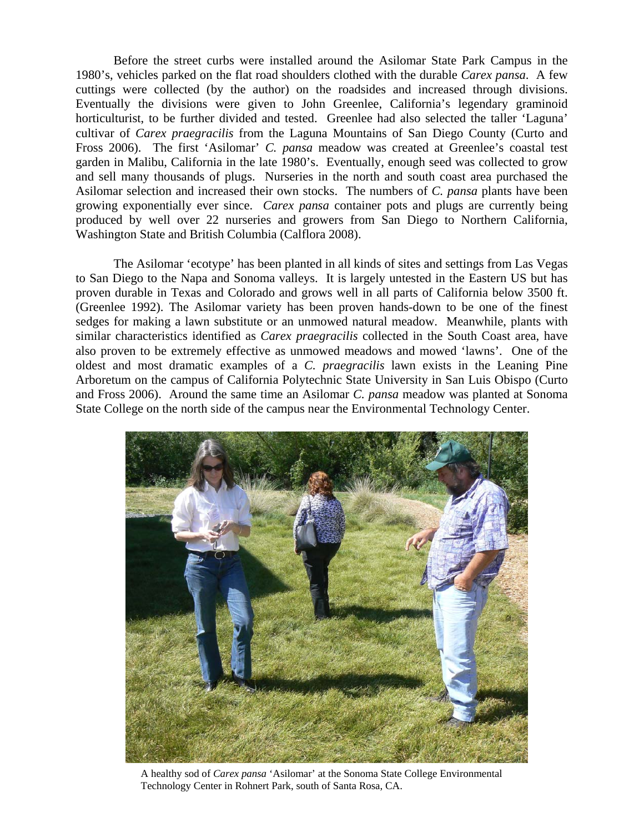Before the street curbs were installed around the Asilomar State Park Campus in the 1980's, vehicles parked on the flat road shoulders clothed with the durable *Carex pansa*. A few cuttings were collected (by the author) on the roadsides and increased through divisions. Eventually the divisions were given to John Greenlee, California's legendary graminoid horticulturist, to be further divided and tested. Greenlee had also selected the taller 'Laguna' cultivar of *Carex praegracilis* from the Laguna Mountains of San Diego County (Curto and Fross 2006). The first 'Asilomar' *C. pansa* meadow was created at Greenlee's coastal test garden in Malibu, California in the late 1980's. Eventually, enough seed was collected to grow and sell many thousands of plugs. Nurseries in the north and south coast area purchased the Asilomar selection and increased their own stocks. The numbers of *C. pansa* plants have been growing exponentially ever since. *Carex pansa* container pots and plugs are currently being produced by well over 22 nurseries and growers from San Diego to Northern California, Washington State and British Columbia (Calflora 2008).

The Asilomar 'ecotype' has been planted in all kinds of sites and settings from Las Vegas to San Diego to the Napa and Sonoma valleys. It is largely untested in the Eastern US but has proven durable in Texas and Colorado and grows well in all parts of California below 3500 ft. (Greenlee 1992). The Asilomar variety has been proven hands-down to be one of the finest sedges for making a lawn substitute or an unmowed natural meadow. Meanwhile, plants with similar characteristics identified as *Carex praegracilis* collected in the South Coast area, have also proven to be extremely effective as unmowed meadows and mowed 'lawns'. One of the oldest and most dramatic examples of a *C. praegracilis* lawn exists in the Leaning Pine Arboretum on the campus of California Polytechnic State University in San Luis Obispo (Curto and Fross 2006). Around the same time an Asilomar *C. pansa* meadow was planted at Sonoma State College on the north side of the campus near the Environmental Technology Center.



A healthy sod of *Carex pansa* 'Asilomar' at the Sonoma State College Environmental Technology Center in Rohnert Park, south of Santa Rosa, CA.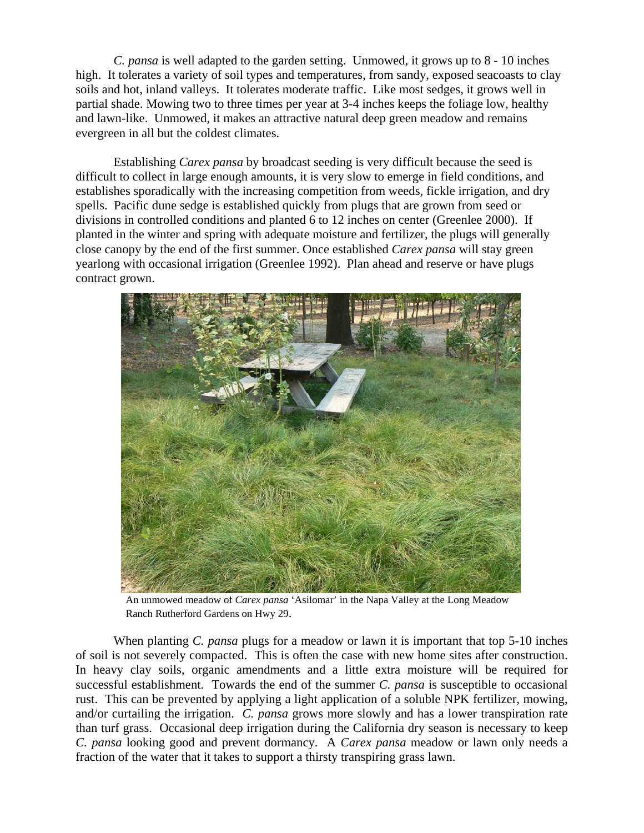*C. pansa* is well adapted to the garden setting. Unmowed, it grows up to 8 - 10 inches high. It tolerates a variety of soil types and temperatures, from sandy, exposed seacoasts to clay soils and hot, inland valleys. It tolerates moderate traffic. Like most sedges, it grows well in partial shade. Mowing two to three times per year at 3-4 inches keeps the foliage low, healthy and lawn-like. Unmowed, it makes an attractive natural deep green meadow and remains evergreen in all but the coldest climates.

Establishing *Carex pansa* by broadcast seeding is very difficult because the seed is difficult to collect in large enough amounts, it is very slow to emerge in field conditions, and establishes sporadically with the increasing competition from weeds, fickle irrigation, and dry spells. Pacific dune sedge is established quickly from plugs that are grown from seed or divisions in controlled conditions and planted 6 to 12 inches on center (Greenlee 2000). If planted in the winter and spring with adequate moisture and fertilizer, the plugs will generally close canopy by the end of the first summer. Once established *Carex pansa* will stay green yearlong with occasional irrigation (Greenlee 1992). Plan ahead and reserve or have plugs contract grown.



An unmowed meadow of *Carex pansa* 'Asilomar' in the Napa Valley at the Long Meadow Ranch Rutherford Gardens on Hwy 29.

When planting *C. pansa* plugs for a meadow or lawn it is important that top 5-10 inches of soil is not severely compacted. This is often the case with new home sites after construction. In heavy clay soils, organic amendments and a little extra moisture will be required for successful establishment. Towards the end of the summer *C. pansa* is susceptible to occasional rust. This can be prevented by applying a light application of a soluble NPK fertilizer, mowing, and/or curtailing the irrigation. *C. pansa* grows more slowly and has a lower transpiration rate than turf grass. Occasional deep irrigation during the California dry season is necessary to keep *C. pansa* looking good and prevent dormancy. A *Carex pansa* meadow or lawn only needs a fraction of the water that it takes to support a thirsty transpiring grass lawn.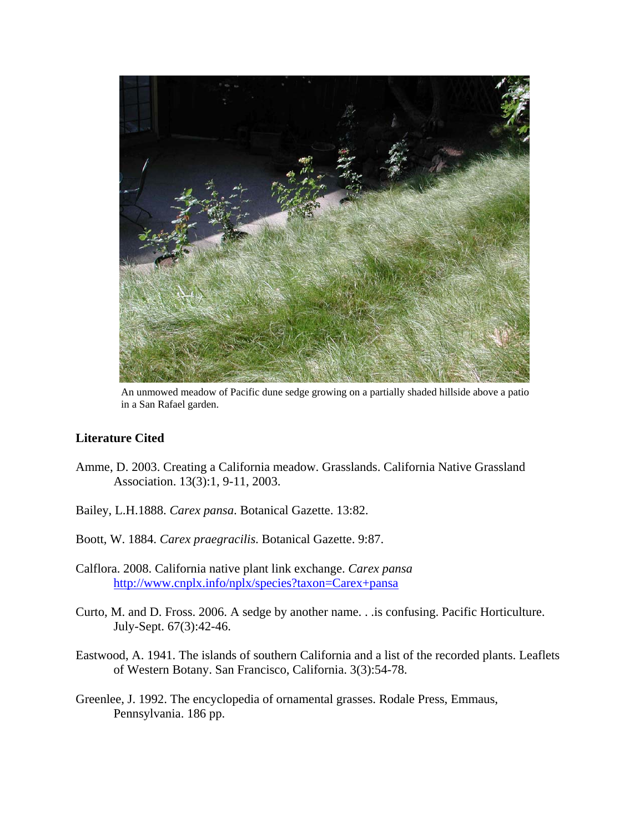

An unmowed meadow of Pacific dune sedge growing on a partially shaded hillside above a patio in a San Rafael garden.

## **Literature Cited**

- Amme, D. 2003. Creating a California meadow. Grasslands. California Native Grassland Association. 13(3):1, 9-11, 2003.
- Bailey, L.H.1888. *Carex pansa*. Botanical Gazette. 13:82.
- Boott, W. 1884. *Carex praegracilis*. Botanical Gazette. 9:87.
- Calflora. 2008. California native plant link exchange. *Carex pansa* http://www.cnplx.info/nplx/species?taxon=Carex+pansa
- Curto, M. and D. Fross. 2006. A sedge by another name. . .is confusing. Pacific Horticulture. July-Sept. 67(3):42-46.
- Eastwood, A. 1941. The islands of southern California and a list of the recorded plants. Leaflets of Western Botany. San Francisco, California. 3(3):54-78.
- Greenlee, J. 1992. The encyclopedia of ornamental grasses. Rodale Press, Emmaus, Pennsylvania. 186 pp.